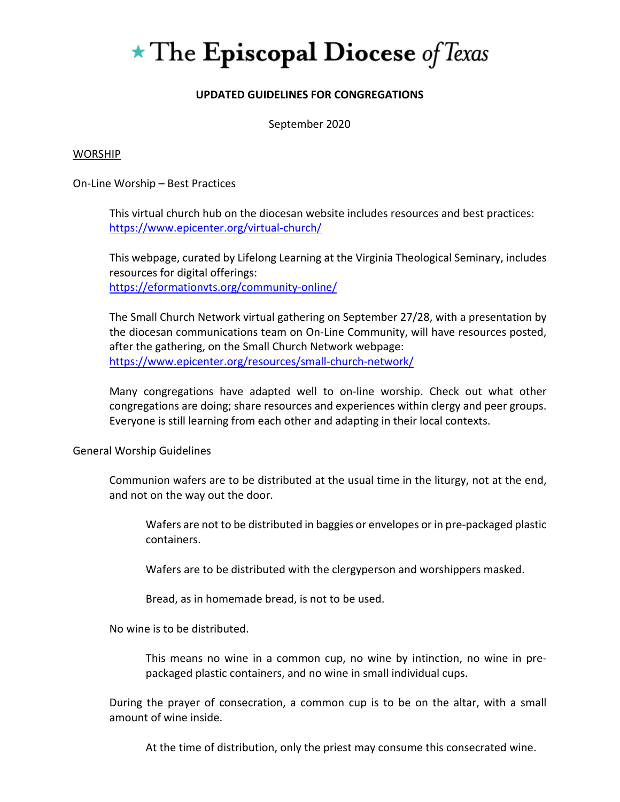# $\star$  The Episcopal Diocese of Texas

# **UPDATED GUIDELINES FOR CONGREGATIONS**

September 2020

#### WORSHIP

On-Line Worship – Best Practices

This virtual church hub on the diocesan website includes resources and best practices: <https://www.epicenter.org/virtual-church/>

This webpage, curated by Lifelong Learning at the Virginia Theological Seminary, includes resources for digital offerings: <https://eformationvts.org/community-online/>

The Small Church Network virtual gathering on September 27/28, with a presentation by the diocesan communications team on On-Line Community, will have resources posted, after the gathering, on the Small Church Network webpage: <https://www.epicenter.org/resources/small-church-network/>

Many congregations have adapted well to on-line worship. Check out what other congregations are doing; share resources and experiences within clergy and peer groups. Everyone is still learning from each other and adapting in their local contexts.

General Worship Guidelines

Communion wafers are to be distributed at the usual time in the liturgy, not at the end, and not on the way out the door.

Wafers are not to be distributed in baggies or envelopes or in pre-packaged plastic containers.

Wafers are to be distributed with the clergyperson and worshippers masked.

Bread, as in homemade bread, is not to be used.

No wine is to be distributed.

This means no wine in a common cup, no wine by intinction, no wine in prepackaged plastic containers, and no wine in small individual cups.

During the prayer of consecration, a common cup is to be on the altar, with a small amount of wine inside.

At the time of distribution, only the priest may consume this consecrated wine.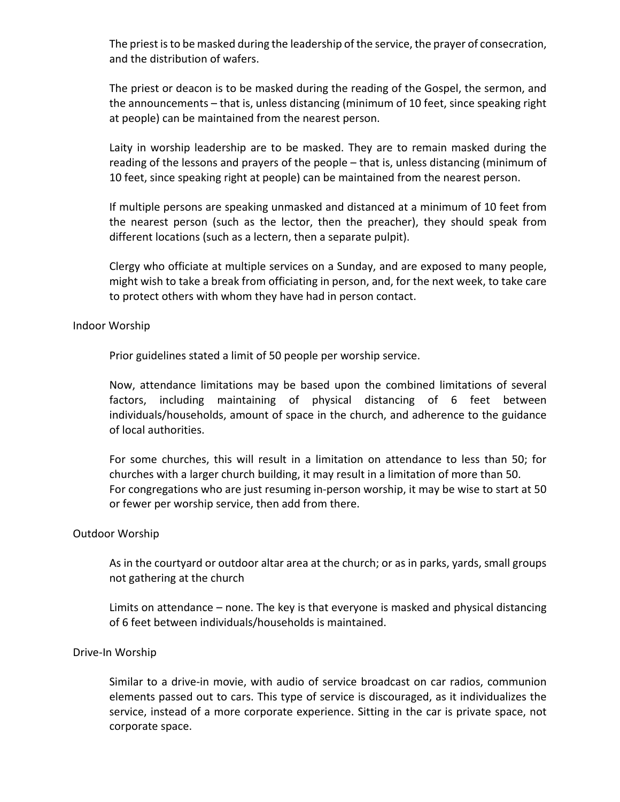The priest is to be masked during the leadership of the service, the prayer of consecration, and the distribution of wafers.

The priest or deacon is to be masked during the reading of the Gospel, the sermon, and the announcements – that is, unless distancing (minimum of 10 feet, since speaking right at people) can be maintained from the nearest person.

Laity in worship leadership are to be masked. They are to remain masked during the reading of the lessons and prayers of the people – that is, unless distancing (minimum of 10 feet, since speaking right at people) can be maintained from the nearest person.

If multiple persons are speaking unmasked and distanced at a minimum of 10 feet from the nearest person (such as the lector, then the preacher), they should speak from different locations (such as a lectern, then a separate pulpit).

Clergy who officiate at multiple services on a Sunday, and are exposed to many people, might wish to take a break from officiating in person, and, for the next week, to take care to protect others with whom they have had in person contact.

#### Indoor Worship

Prior guidelines stated a limit of 50 people per worship service.

Now, attendance limitations may be based upon the combined limitations of several factors, including maintaining of physical distancing of 6 feet between individuals/households, amount of space in the church, and adherence to the guidance of local authorities.

For some churches, this will result in a limitation on attendance to less than 50; for churches with a larger church building, it may result in a limitation of more than 50. For congregations who are just resuming in-person worship, it may be wise to start at 50 or fewer per worship service, then add from there.

#### Outdoor Worship

As in the courtyard or outdoor altar area at the church; or as in parks, yards, small groups not gathering at the church

Limits on attendance – none. The key is that everyone is masked and physical distancing of 6 feet between individuals/households is maintained.

#### Drive-In Worship

Similar to a drive-in movie, with audio of service broadcast on car radios, communion elements passed out to cars. This type of service is discouraged, as it individualizes the service, instead of a more corporate experience. Sitting in the car is private space, not corporate space.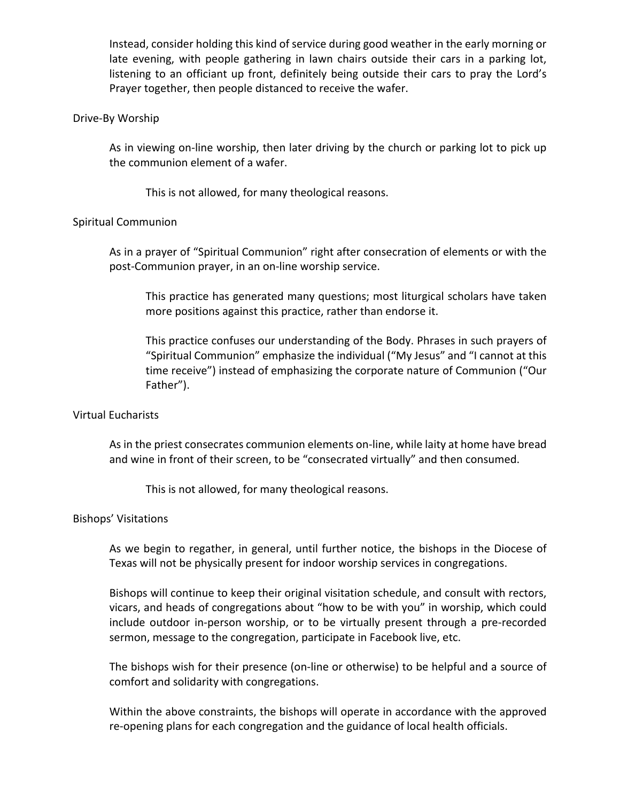Instead, consider holding this kind of service during good weather in the early morning or late evening, with people gathering in lawn chairs outside their cars in a parking lot, listening to an officiant up front, definitely being outside their cars to pray the Lord's Prayer together, then people distanced to receive the wafer.

#### Drive-By Worship

As in viewing on-line worship, then later driving by the church or parking lot to pick up the communion element of a wafer.

This is not allowed, for many theological reasons.

## Spiritual Communion

As in a prayer of "Spiritual Communion" right after consecration of elements or with the post-Communion prayer, in an on-line worship service.

This practice has generated many questions; most liturgical scholars have taken more positions against this practice, rather than endorse it.

This practice confuses our understanding of the Body. Phrases in such prayers of "Spiritual Communion" emphasize the individual ("My Jesus" and "I cannot at this time receive") instead of emphasizing the corporate nature of Communion ("Our Father").

## Virtual Eucharists

As in the priest consecrates communion elements on-line, while laity at home have bread and wine in front of their screen, to be "consecrated virtually" and then consumed.

This is not allowed, for many theological reasons.

#### Bishops' Visitations

As we begin to regather, in general, until further notice, the bishops in the Diocese of Texas will not be physically present for indoor worship services in congregations.

Bishops will continue to keep their original visitation schedule, and consult with rectors, vicars, and heads of congregations about "how to be with you" in worship, which could include outdoor in-person worship, or to be virtually present through a pre-recorded sermon, message to the congregation, participate in Facebook live, etc.

The bishops wish for their presence (on-line or otherwise) to be helpful and a source of comfort and solidarity with congregations.

Within the above constraints, the bishops will operate in accordance with the approved re-opening plans for each congregation and the guidance of local health officials.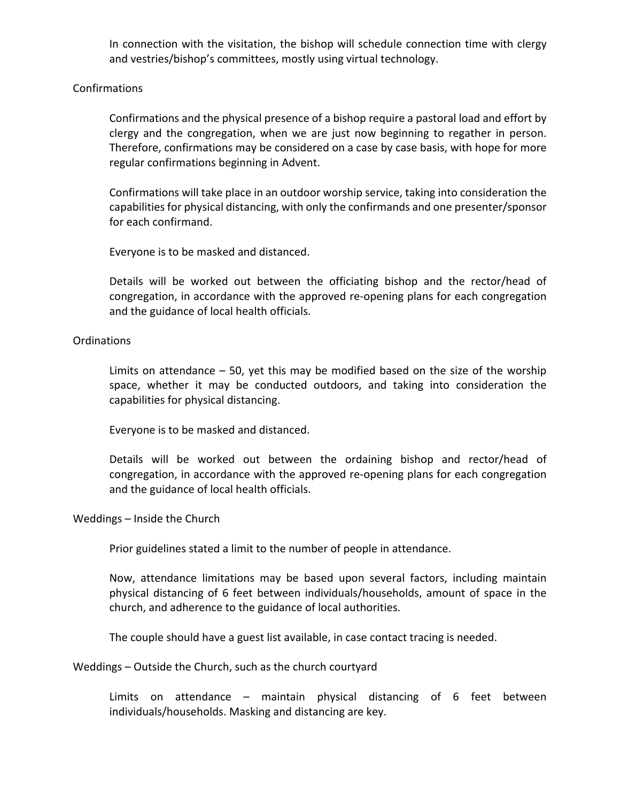In connection with the visitation, the bishop will schedule connection time with clergy and vestries/bishop's committees, mostly using virtual technology.

## Confirmations

Confirmations and the physical presence of a bishop require a pastoral load and effort by clergy and the congregation, when we are just now beginning to regather in person. Therefore, confirmations may be considered on a case by case basis, with hope for more regular confirmations beginning in Advent.

Confirmations will take place in an outdoor worship service, taking into consideration the capabilities for physical distancing, with only the confirmands and one presenter/sponsor for each confirmand.

Everyone is to be masked and distanced.

Details will be worked out between the officiating bishop and the rector/head of congregation, in accordance with the approved re-opening plans for each congregation and the guidance of local health officials.

## Ordinations

Limits on attendance – 50, yet this may be modified based on the size of the worship space, whether it may be conducted outdoors, and taking into consideration the capabilities for physical distancing.

Everyone is to be masked and distanced.

Details will be worked out between the ordaining bishop and rector/head of congregation, in accordance with the approved re-opening plans for each congregation and the guidance of local health officials.

#### Weddings – Inside the Church

Prior guidelines stated a limit to the number of people in attendance.

Now, attendance limitations may be based upon several factors, including maintain physical distancing of 6 feet between individuals/households, amount of space in the church, and adherence to the guidance of local authorities.

The couple should have a guest list available, in case contact tracing is needed.

Weddings – Outside the Church, such as the church courtyard

Limits on attendance – maintain physical distancing of 6 feet between individuals/households. Masking and distancing are key.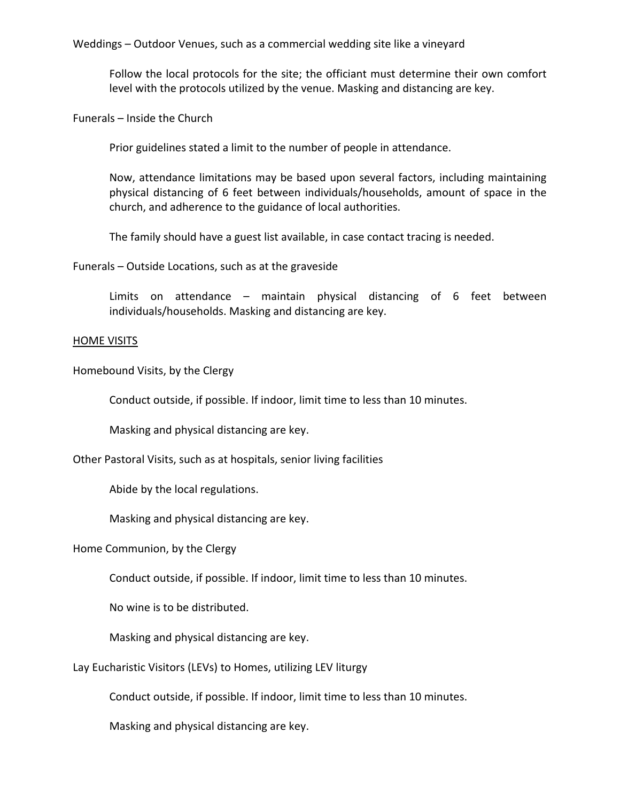Weddings – Outdoor Venues, such as a commercial wedding site like a vineyard

Follow the local protocols for the site; the officiant must determine their own comfort level with the protocols utilized by the venue. Masking and distancing are key.

Funerals – Inside the Church

Prior guidelines stated a limit to the number of people in attendance.

Now, attendance limitations may be based upon several factors, including maintaining physical distancing of 6 feet between individuals/households, amount of space in the church, and adherence to the guidance of local authorities.

The family should have a guest list available, in case contact tracing is needed.

Funerals – Outside Locations, such as at the graveside

Limits on attendance – maintain physical distancing of 6 feet between individuals/households. Masking and distancing are key.

#### HOME VISITS

Homebound Visits, by the Clergy

Conduct outside, if possible. If indoor, limit time to less than 10 minutes.

Masking and physical distancing are key.

Other Pastoral Visits, such as at hospitals, senior living facilities

Abide by the local regulations.

Masking and physical distancing are key.

#### Home Communion, by the Clergy

Conduct outside, if possible. If indoor, limit time to less than 10 minutes.

No wine is to be distributed.

Masking and physical distancing are key.

Lay Eucharistic Visitors (LEVs) to Homes, utilizing LEV liturgy

Conduct outside, if possible. If indoor, limit time to less than 10 minutes.

Masking and physical distancing are key.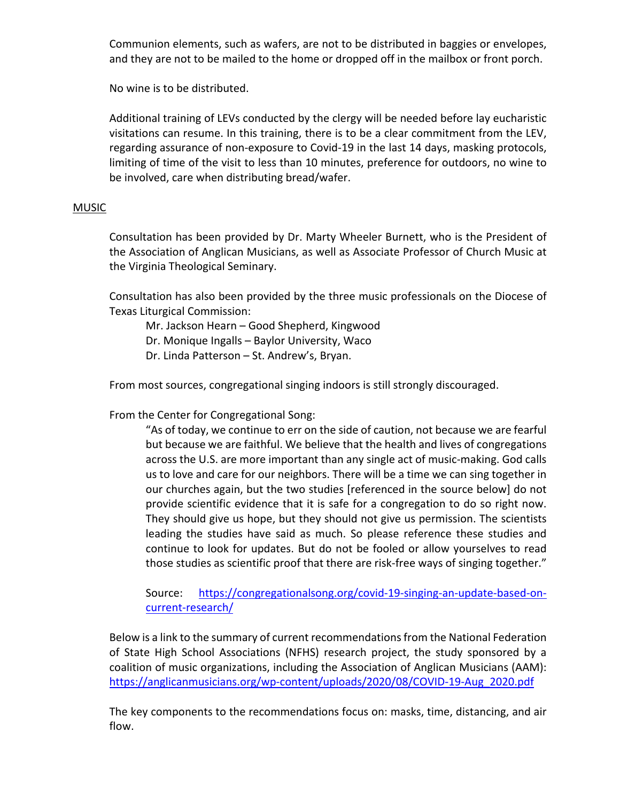Communion elements, such as wafers, are not to be distributed in baggies or envelopes, and they are not to be mailed to the home or dropped off in the mailbox or front porch.

No wine is to be distributed.

Additional training of LEVs conducted by the clergy will be needed before lay eucharistic visitations can resume. In this training, there is to be a clear commitment from the LEV, regarding assurance of non-exposure to Covid-19 in the last 14 days, masking protocols, limiting of time of the visit to less than 10 minutes, preference for outdoors, no wine to be involved, care when distributing bread/wafer.

## MUSIC

Consultation has been provided by Dr. Marty Wheeler Burnett, who is the President of the Association of Anglican Musicians, as well as Associate Professor of Church Music at the Virginia Theological Seminary.

Consultation has also been provided by the three music professionals on the Diocese of Texas Liturgical Commission:

Mr. Jackson Hearn – Good Shepherd, Kingwood Dr. Monique Ingalls – Baylor University, Waco Dr. Linda Patterson – St. Andrew's, Bryan.

From most sources, congregational singing indoors is still strongly discouraged.

From the Center for Congregational Song:

"As of today, we continue to err on the side of caution, not because we are fearful but because we are faithful. We believe that the health and lives of congregations across the U.S. are more important than any single act of music-making. God calls us to love and care for our neighbors. There will be a time we can sing together in our churches again, but the two studies [referenced in the source below] do not provide scientific evidence that it is safe for a congregation to do so right now. They should give us hope, but they should not give us permission. The scientists leading the studies have said as much. So please reference these studies and continue to look for updates. But do not be fooled or allow yourselves to read those studies as scientific proof that there are risk-free ways of singing together."

Source: [https://congregationalsong.org/covid-19-singing-an-update-based-on](https://congregationalsong.org/covid-19-singing-an-update-based-on-current-research/)[current-research/](https://congregationalsong.org/covid-19-singing-an-update-based-on-current-research/)

Below is a link to the summary of current recommendations from the National Federation of State High School Associations (NFHS) research project, the study sponsored by a coalition of music organizations, including the Association of Anglican Musicians (AAM): [https://anglicanmusicians.org/wp-content/uploads/2020/08/COVID-19-Aug\\_2020.pdf](https://anglicanmusicians.org/wp-content/uploads/2020/08/COVID-19-Aug_2020.pdf)

The key components to the recommendations focus on: masks, time, distancing, and air flow.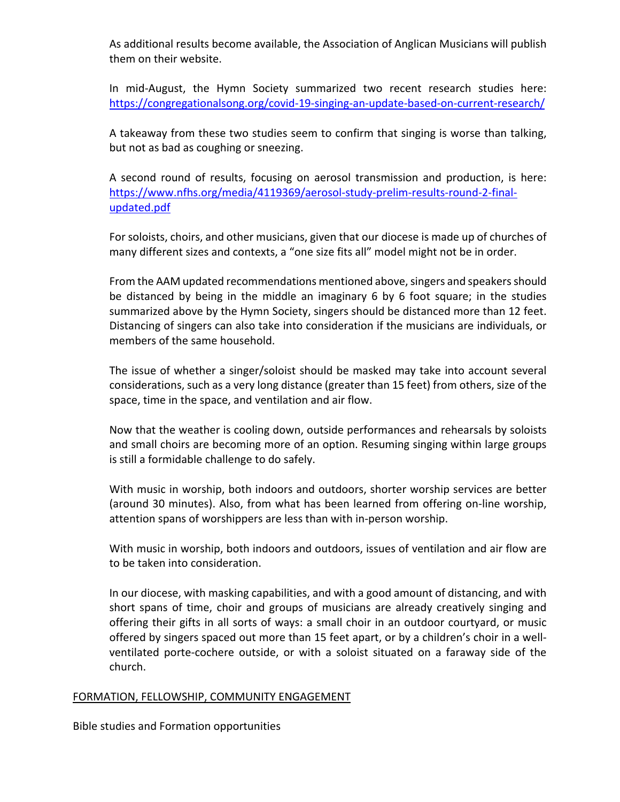As additional results become available, the Association of Anglican Musicians will publish them on their website.

In mid-August, the Hymn Society summarized two recent research studies here: <https://congregationalsong.org/covid-19-singing-an-update-based-on-current-research/>

A takeaway from these two studies seem to confirm that singing is worse than talking, but not as bad as coughing or sneezing.

A second round of results, focusing on aerosol transmission and production, is here: [https://www.nfhs.org/media/4119369/aerosol-study-prelim-results-round-2-final](https://www.nfhs.org/media/4119369/aerosol-study-prelim-results-round-2-final-updated.pdf)[updated.pdf](https://www.nfhs.org/media/4119369/aerosol-study-prelim-results-round-2-final-updated.pdf)

For soloists, choirs, and other musicians, given that our diocese is made up of churches of many different sizes and contexts, a "one size fits all" model might not be in order.

From the AAM updated recommendations mentioned above, singers and speakers should be distanced by being in the middle an imaginary 6 by 6 foot square; in the studies summarized above by the Hymn Society, singers should be distanced more than 12 feet. Distancing of singers can also take into consideration if the musicians are individuals, or members of the same household.

The issue of whether a singer/soloist should be masked may take into account several considerations, such as a very long distance (greater than 15 feet) from others, size of the space, time in the space, and ventilation and air flow.

Now that the weather is cooling down, outside performances and rehearsals by soloists and small choirs are becoming more of an option. Resuming singing within large groups is still a formidable challenge to do safely.

With music in worship, both indoors and outdoors, shorter worship services are better (around 30 minutes). Also, from what has been learned from offering on-line worship, attention spans of worshippers are less than with in-person worship.

With music in worship, both indoors and outdoors, issues of ventilation and air flow are to be taken into consideration.

In our diocese, with masking capabilities, and with a good amount of distancing, and with short spans of time, choir and groups of musicians are already creatively singing and offering their gifts in all sorts of ways: a small choir in an outdoor courtyard, or music offered by singers spaced out more than 15 feet apart, or by a children's choir in a wellventilated porte-cochere outside, or with a soloist situated on a faraway side of the church.

## FORMATION, FELLOWSHIP, COMMUNITY ENGAGEMENT

Bible studies and Formation opportunities